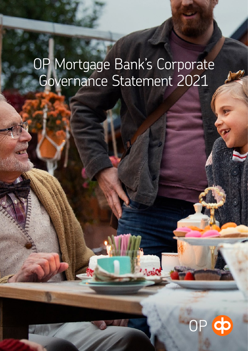# OP Mortgage Bank's Corporate Governance Statement 2021

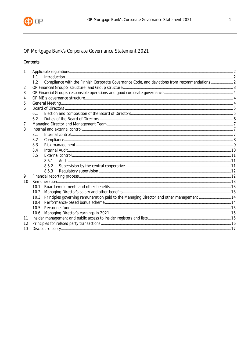

# OP Mortgage Bank's Corporate Governance Statement 2021

# Contents

| 1  |      |                                                                                               |  |  |  |
|----|------|-----------------------------------------------------------------------------------------------|--|--|--|
|    | 1.1  |                                                                                               |  |  |  |
|    | 1.2  | Compliance with the Finnish Corporate Governance Code, and deviations from recommendations  2 |  |  |  |
| 2  |      |                                                                                               |  |  |  |
| 3  |      |                                                                                               |  |  |  |
| 4  |      |                                                                                               |  |  |  |
| 5  |      |                                                                                               |  |  |  |
| 6  |      |                                                                                               |  |  |  |
|    | 6.1  |                                                                                               |  |  |  |
|    | 6.2  |                                                                                               |  |  |  |
| 7  |      |                                                                                               |  |  |  |
| 8  |      |                                                                                               |  |  |  |
|    | 8.1  |                                                                                               |  |  |  |
|    | 8.2  |                                                                                               |  |  |  |
|    | 8.3  |                                                                                               |  |  |  |
|    | 8.4  |                                                                                               |  |  |  |
|    | 8.5  |                                                                                               |  |  |  |
|    |      | 8.5.1                                                                                         |  |  |  |
|    |      | 8.5.2                                                                                         |  |  |  |
|    |      | 8.5.3                                                                                         |  |  |  |
| 9  |      |                                                                                               |  |  |  |
| 10 |      |                                                                                               |  |  |  |
|    | 10.1 |                                                                                               |  |  |  |
|    |      |                                                                                               |  |  |  |
|    | 10.3 | Principles governing remuneration paid to the Managing Director and other management 14       |  |  |  |
|    |      |                                                                                               |  |  |  |
|    |      |                                                                                               |  |  |  |
|    |      |                                                                                               |  |  |  |
| 11 |      |                                                                                               |  |  |  |
| 12 |      |                                                                                               |  |  |  |
| 13 |      |                                                                                               |  |  |  |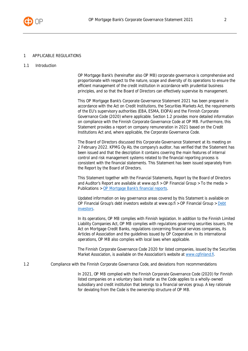

#### <span id="page-2-0"></span>1 APPLICABLE REGULATIONS

<span id="page-2-1"></span>1.1 Introduction

OP Mortgage Bank's (hereinafter also OP MB) corporate governance is comprehensive and proportionate with respect to the nature, scope and diversity of its operations to ensure the efficient management of the credit institution in accordance with prudential business principles, and so that the Board of Directors can effectively supervise its management.

This OP Mortgage Bank's Corporate Governance Statement 2021 has been prepared in accordance with the Act on Credit Institutions, the Securities Markets Act, the requirements of the EU's supervisory authorities (EBA, ESMA, EIOPA) and the Finnish Corporate Governance Code (2020) where applicable. Section 1.2 provides more detailed information on compliance with the Finnish Corporate Governance Code at OP MB. Furthermore, this Statement provides a report on company remuneration in 2021 based on the Credit Institutions Act and, where applicable, the Corporate Governance Code.

The Board of Directors discussed this Corporate Governance Statement at its meeting on 2 February 2022. KPMG Oy Ab, the company's auditor, has verified that the Statement has been issued and that the description it contains covering the main features of internal control and risk management systems related to the financial reporting process is consistent with the financial statements. This Statement has been issued separately from the Report by the Board of Directors.

This Statement together with the Financial Statements, Report by the Board of Directors and Auditor's Report are available at www.op.fi > OP Financial Group > To the media > Publications > [OP Mortgage Bank's financial reports](https://www.op.fi/web/raportit/op-mortgage-bank-publications).

Updated information on key governance areas covered by this Statement is available on OP Financial Group's debt investors website at www.op.fi > OP Financial Group > [Debt](https://www.op.fi/op-financial-group/debt-investors) [investors](https://www.op.fi/op-financial-group/debt-investors).

In its operations, OP MB complies with Finnish legislation. In addition to the Finnish Limited Liability Companies Act, OP MB complies with regulations governing securities issuers, the Act on Mortgage Credit Banks, regulations concerning financial services companies, its Articles of Association and the guidelines issued by OP Cooperative. In its international operations, OP MB also complies with local laws when applicable.

The Finnish Corporate Governance Code 2020 for listed companies, issued by the Securities Market Association, is available on the Association's website at [www.cgfinland.fi.](http://www.cgfinland.fi/)

<span id="page-2-2"></span>1.2 Compliance with the Finnish Corporate Governance Code, and deviations from recommendations

In 2021, OP MB complied with the Finnish Corporate Governance Code (2020) for Finnish listed companies on a voluntary basis insofar as the Code applies to a wholly-owned subsidiary and credit institution that belongs to a financial services group. A key rationale for deviating from the Code is the ownership structure of OP MB.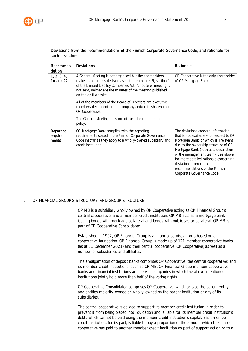

#### Deviations from the recommendations of the Finnish Corporate Governance Code, and rationale for such deviations

| Recommen<br>dation             | <b>Deviations</b>                                                                                                                                                                                                                                                               | Rationale                                                                                                                                                                                                                                                                                                                                                                          |
|--------------------------------|---------------------------------------------------------------------------------------------------------------------------------------------------------------------------------------------------------------------------------------------------------------------------------|------------------------------------------------------------------------------------------------------------------------------------------------------------------------------------------------------------------------------------------------------------------------------------------------------------------------------------------------------------------------------------|
| 1, 2, 3, 4,<br>10 and 22       | A General Meeting is not organised but the shareholders<br>make a unanimous decision as stated in chapter 5, section 1<br>of the Limited Liability Companies Act. A notice of meeting is<br>not sent, neither are the minutes of the meeting published<br>on the op.fi website. | OP Cooperative is the only shareholder<br>of OP Mortgage Bank.                                                                                                                                                                                                                                                                                                                     |
|                                | All of the members of the Board of Directors are executive<br>members dependent on the company and/or its shareholder,<br>OP Cooperative.                                                                                                                                       |                                                                                                                                                                                                                                                                                                                                                                                    |
|                                | The General Meeting does not discuss the remuneration<br>policy.                                                                                                                                                                                                                |                                                                                                                                                                                                                                                                                                                                                                                    |
| Reporting<br>require-<br>ments | OP Mortgage Bank complies with the reporting<br>requirements stated in the Finnish Corporate Governance<br>Code insofar as they apply to a wholly-owned subsidiary and<br>credit institution.                                                                                   | The deviations concern information<br>that is not available with respect to OP<br>Mortgage Bank, or which is irrelevant<br>due to the ownership structure of OP<br>Mortgage Bank (such as a description<br>of the management team). See above<br>for more detailed rationale concerning<br>deviations from certain<br>recommendations of the Finnish<br>Corporate Governance Code. |

# <span id="page-3-0"></span>2 OP FINANCIAL GROUP'S STRUCTURE, AND GROUP STRUCTURE

OP MB is a subsidiary wholly owned by OP Cooperative acting as OP Financial Group's central cooperative, and a member credit institution. OP MB acts as a mortgage bank issuing bonds with mortgage collateral and bonds with public sector collateral. OP MB is part of OP Cooperative Consolidated.

Established in 1902, OP Financial Group is a financial services group based on a cooperative foundation. OP Financial Group is made up of 121 member cooperative banks (as at 31 December 2021) and their central cooperative (OP Cooperative) as well as a number of subsidiaries and affiliates.

The amalgamation of deposit banks comprises OP Cooperative (the central cooperative) and its member credit institutions, such as OP MB, OP Financial Group member cooperative banks and financial institutions and service companies in which the above-mentioned institutions jointly hold more than half of the voting rights.

OP Cooperative Consolidated comprises OP Cooperative, which acts as the parent entity, and entities majority-owned or wholly-owned by the parent institution or any of its subsidiaries.

The central cooperative is obliged to support its member credit institution in order to prevent it from being placed into liquidation and is liable for its member credit institution's debts which cannot be paid using the member credit institution's capital. Each member credit institution, for its part, is liable to pay a proportion of the amount which the central cooperative has paid to another member credit institution as part of support action or to a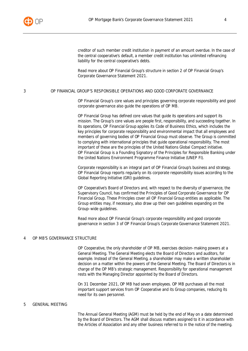

creditor of such member credit institution in payment of an amount overdue. In the case of the central cooperative's default, a member credit institution has unlimited refinancing liability for the central cooperative's debts.

Read more about OP Financial Group's structure in section 2 of OP Financial Group's Corporate Governance Statement 2021.

#### <span id="page-4-0"></span>3 OP FINANCIAL GROUP'S RESPONSIBLE OPERATIONS AND GOOD CORPORATE GOVERNANCE

OP Financial Group's core values and principles governing corporate responsibility and good corporate governance also guide the operations of OP MB.

OP Financial Group has defined core values that guide its operations and support its mission. The Group's core values are people first, responsibility, and succeeding together. In its operations, OP Financial Group applies its Code of Business Ethics, which includes the key principles for corporate responsibility and environmental impact that all employees and members of governing bodies of OP Financial Group must observe. The Group is committed to complying with international principles that guide operational responsibility. The most important of these are the principles of the United Nations Global Compact initiative. OP Financial Group is a Founding Signatory of the Principles for Responsible Banking under the United Nations Environment Programme Finance Initiative (UNEP FI).

Corporate responsibility is an integral part of OP Financial Group's business and strategy. OP Financial Group reports regularly on its corporate responsibility issues according to the Global Reporting Initiative (GRI) guidelines.

OP Cooperative's Board of Directors and, with respect to the diversity of governance, the Supervisory Council, has confirmed the Principles of Good Corporate Governance for OP Financial Group. These Principles cover all OP Financial Group entities as applicable. The Group entities may, if necessary, also draw up their own guidelines expanding on the Group-wide guidelines.

Read more about OP Financial Group's corporate responsibility and good corporate governance in section 3 of OP Financial Group's Corporate Governance Statement 2021.

# <span id="page-4-1"></span>4 OP MB'S GOVERNANCE STRUCTURE

OP Cooperative, the only shareholder of OP MB, exercises decision-making powers at a General Meeting. The General Meeting elects the Board of Directors and auditors, for example. Instead of the General Meeting, a shareholder may make a written shareholder decision on a matter within the powers of the General Meeting. The Board of Directors is in charge of the OP MB's strategic management. Responsibility for operational management rests with the Managing Director appointed by the Board of Directors.

On 31 December 2021, OP MB had seven employees. OP MB purchases all the most important support services from OP Cooperative and its Group companies, reducing its need for its own personnel.

#### <span id="page-4-2"></span>5 GENERAL MEETING

The Annual General Meeting (AGM) must be held by the end of May on a date determined by the Board of Directors. The AGM shall discuss matters assigned to it in accordance with the Articles of Association and any other business referred to in the notice of the meeting.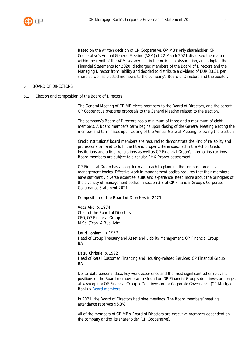

Based on the written decision of OP Cooperative, OP MB's only shareholder, OP Cooperative's Annual General Meeting (AGM) of 22 March 2021 discussed the matters within the remit of the AGM, as specified in the Articles of Association, and adopted the Financial Statements for 2020, discharged members of the Board of Directors and the Managing Director from liability and decided to distribute a dividend of EUR 83.31 per share as well as elected members to the company's Board of Directors and the auditor.

#### <span id="page-5-0"></span>6 BOARD OF DIRECTORS

<span id="page-5-1"></span>6.1 Election and composition of the Board of Directors

The General Meeting of OP MB elects members to the Board of Directors, and the parent OP Cooperative prepares proposals to the General Meeting related to the election.

The company's Board of Directors has a minimum of three and a maximum of eight members. A Board member's term begins upon closing of the General Meeting electing the member and terminates upon closing of the Annual General Meeting following the election.

Credit institutions' board members are required to demonstrate the kind of reliability and professionalism and to fulfil the fit and proper criteria specified in the Act on Credit Institutions and official regulations as well as OP Financial Group's internal instructions. Board members are subject to a regular Fit & Proper assessment.

OP Financial Group has a long-term approach to planning the composition of its management bodies. Effective work in management bodies requires that their members have sufficiently diverse expertise, skills and experience. Read more about the principles of the diversity of management bodies in section 3.3 of OP Financial Group's Corporate Governance Statement 2021.

#### Composition of the Board of Directors in 2021

Vesa Aho, b. 1974 Chair of the Board of Directors CFO, OP Financial Group M.Sc. (Econ. & Bus. Adm.)

Lauri Iloniemi, b. 1957

Head of Group Treasury and Asset and Liability Management, OP Financial Group **BA** 

#### Kaisu Christie, b. 1972

Head of Retail Customer Financing and Housing-related Services, OP Financial Group **BA** 

Up-to-date personal data, key work experience and the most significant other relevant positions of the Board members can be found on OP Financial Group's debt investors pages at www.op.fi > OP Financial Group > Debt investors > Corporate Governance (OP Mortgage Bank) > [Board members](https://www.op.fi/op-financial-group/debt-investors/debt-investors-in-finnish/corporate-governance-opmb-/board-members-opmb).

In 2021, the Board of Directors had nine meetings. The Board members' meeting attendance rate was 96.3%.

All of the members of OP MB's Board of Directors are executive members dependent on the company and/or its shareholder (OP Cooperative).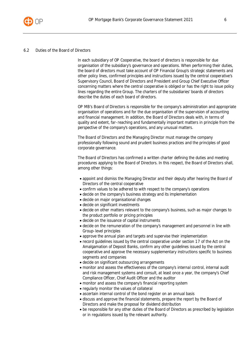

#### <span id="page-6-0"></span>6.2 Duties of the Board of Directors

In each subsidiary of OP Cooperative, the board of directors is responsible for due organisation of the subsidiary's governance and operations. When performing their duties, the board of directors must take account of OP Financial Group's strategic statements and other policy lines, confirmed principles and instructions issued by the central cooperative's Supervisory Council, Board of Directors and President and Group Chief Executive Officer concerning matters where the central cooperative is obliged or has the right to issue policy lines regarding the entire Group. The charters of the subsidiaries' boards of directors describe the duties of each board of directors.

OP MB's Board of Directors is responsible for the company's administration and appropriate organisation of operations and for the due organisation of the supervision of accounting and financial management. In addition, the Board of Directors deals with, in terms of quality and extent, far-reaching and fundamentally important matters in principle from the perspective of the company's operations, and any unusual matters.

The Board of Directors and the Managing Director must manage the company professionally following sound and prudent business practices and the principles of good corporate governance.

The Board of Directors has confirmed a written charter defining the duties and meeting procedures applying to the Board of Directors. In this respect, the Board of Directors shall, among other things:

- appoint and dismiss the Managing Director and their deputy after hearing the Board of Directors of the central cooperative
- confirm values to be adhered to with respect to the company's operations
- decide on the company's business strategy and its implementation
- decide on major organisational changes
- decide on significant investments
- decide on other matters relevant to the company's business, such as major changes to the product portfolio or pricing principles
- decide on the issuance of capital instruments
- decide on the remuneration of the company's management and personnel in line with Group-level principles
- approve the annual plan and targets and supervise their implementation
- record guidelines issued by the central cooperative under section 17 of the Act on the Amalgamation of Deposit Banks, confirm any other guidelines issued by the central cooperative and approve the necessary supplementary instructions specific to business segments and companies
- decide on significant outsourcing arrangements
- monitor and assess the effectiveness of the company's internal control, internal audit and risk management systems and consult, at least once a year, the company's Chief Compliance Officer, Chief Audit Officer and the auditor
- monitor and assess the company's financial reporting system
- regularly monitor the values of collateral
- ascertain internal control of the bond register on an annual basis
- discuss and approve the financial statements, prepare the report by the Board of Directors and make the proposal for dividend distribution
- be responsible for any other duties of the Board of Directors as prescribed by legislation or in regulations issued by the relevant authority.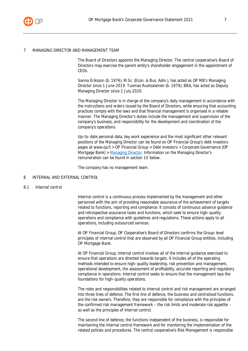

#### <span id="page-7-0"></span>7 MANAGING DIRECTOR AND MANAGEMENT TEAM

The Board of Directors appoints the Managing Director. The central cooperative's Board of Directors may exercise the parent entity's shareholder engagement in the appointment of CEOs.

Sanna Eriksson (b. 1976), M.Sc. (Econ. & Bus. Adm.), has acted as OP MB's Managing Director since 1 June 2019. Tuomas Ruotsalainen (b. 1979), BBA, has acted as Deputy Managing Director since 1 July 2020.

The Managing Director is in charge of the company's daily management in accordance with the instructions and orders issued by the Board of Directors, while ensuring that accounting practices comply with the laws and that financial management is organised in a reliable manner. The Managing Director's duties include the management and supervision of the company's business, and responsibility for the development and coordination of the company's operations.

Up-to-date personal data, key work experience and the most significant other relevant positions of the Managing Director can be found on OP Financial Group's debt investors pages at www.op.fi > OP Financial Group > Debt investors > Corporate Governance (OP Mortgage Bank) > [Managing Director](https://www.op.fi/op-financial-group/debt-investors/debt-investors-in-finnish/corporate-governance-opmb-/md-opmb). Information on the Managing Director's remuneration can be found in section 10 below.

The company has no management team.

#### <span id="page-7-1"></span>8 INTERNAL AND EXTERNAL CONTROL

#### <span id="page-7-2"></span>8.1 Internal control

Internal control is a continuous process implemented by the management and other personnel with the aim of providing reasonable assurance of the achievement of targets related to functions, reporting and compliance. It consists of continuous advance guidance and retrospective assurance tasks and functions, which seek to ensure high-quality operations and compliance with guidelines and regulations. These actions apply to all operations, including outsourced services.

At OP Financial Group, OP Cooperative's Board of Directors confirms the Group-level principles of internal control that are observed by all OP Financial Group entities, including OP Mortgage Bank.

At OP Financial Group, internal control involves all of the internal guidance exercised to ensure that operations are directed towards targets. It includes all of the operating methods intended to ensure high-quality leadership, risk prevention and management, operational development, the assessment of profitability, accurate reporting and regulatory compliance in operations. Internal control seeks to ensure that the management lays the foundations for high-quality operations.

The roles and responsibilities related to internal control and risk management are arranged into three lines of defence. The first line of defence, the business and centralised functions, are the risk owners. Therefore, they are responsible for compliance with the principles of the confirmed risk management framework – the risk limits and moderate risk appetite – as well as the principles of internal control.

The second line of defence, the functions independent of the business, is responsible for maintaining the internal control framework and for monitoring the implementation of the related policies and procedures. The central cooperative's Risk Management is responsible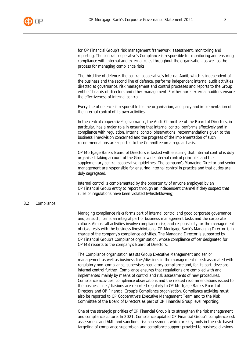

for OP Financial Group's risk management framework, assessment, monitoring and reporting. The central cooperative's Compliance is responsible for monitoring and ensuring compliance with internal and external rules throughout the organisation, as well as the process for managing compliance risks.

The third line of defence, the central cooperative's Internal Audit, which is independent of the business and the second line of defence, performs independent internal audit activities directed at governance, risk management and control processes and reports to the Group entities' boards of directors and other management. Furthermore, external auditors ensure the effectiveness of internal control.

Every line of defence is responsible for the organisation, adequacy and implementation of the internal control of its own activities.

In the central cooperative's governance, the Audit Committee of the Board of Directors, in particular, has a major role in ensuring that internal control performs effectively and in compliance with regulation. Internal control observations, recommendations given to the business line/division concerned and the progress of the implementation of such recommendations are reported to the Committee on a regular basis.

OP Mortgage Bank's Board of Directors is tasked with ensuring that internal control is duly organised, taking account of the Group-wide internal control principles and the supplementary central cooperative guidelines. The company's Managing Director and senior management are responsible for ensuring internal control in practice and that duties are duly segregated.

Internal control is complemented by the opportunity of anyone employed by an OP Financial Group entity to report through an independent channel if they suspect that rules or regulations have been violated (whistleblowing).

#### <span id="page-8-0"></span>8.2 Compliance

Managing compliance risks forms part of internal control and good corporate governance and, as such, forms an integral part of business management tasks and the corporate culture. Almost all activities involve compliance risk, and responsibility for the management of risks rests with the business lines/divisions. OP Mortgage Bank's Managing Director is in charge of the company's compliance activities. The Managing Director is supported by OP Financial Group's Compliance organisation, whose compliance officer designated for OP MB reports to the company's Board of Directors.

The Compliance organisation assists Group Executive Management and senior management as well as business lines/divisions in the management of risk associated with regulatory non-compliance, supervises regulatory compliance and, for its part, develops internal control further. Compliance ensures that regulations are complied with and implemented mainly by means of control and risk assessments of new procedures. Compliance activities, compliance observations and the related recommendations issued to the business lines/divisions are reported regularly to OP Mortgage Bank's Board of Directors and OP Financial Group's Compliance organisation. Compliance activities must also be reported to OP Cooperative's Executive Management Team and to the Risk Committee of the Board of Directors as part of OP Financial Group level reporting.

One of the strategic priorities of OP Financial Group is to strengthen the risk management and compliance culture. In 2021, Compliance updated OP Financial Group's compliance risk assessment and AML and sanctions risk assessment, which are key tools in the risk-based targeting of compliance supervision and compliance support provided to business divisions.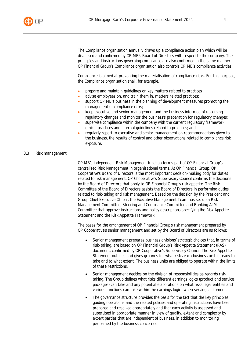

The Compliance organisation annually draws up a compliance action plan which will be discussed and confirmed by OP MB's Board of Directors with respect to the company. The principles and instructions governing compliance are also confirmed in the same manner. OP Financial Group's Compliance organisation also controls OP MB's compliance activities.

Compliance is aimed at preventing the materialisation of compliance risks. For this purpose, the Compliance organisation shall, for example,

- prepare and maintain guidelines on key matters related to practices
- advise employees on, and train them in, matters related practices;
- support OP MB's business in the planning of development measures promoting the management of compliance risks;
- keep executive and senior management and the business informed of upcoming regulatory changes and monitor the business's preparation for regulatory changes;
- supervise compliance within the company with the current regulatory framework, ethical practices and internal guidelines related to practices; and
- regularly report to executive and senior management on recommendations given to the business, the results of control and other observations related to compliance risk exposure.

#### <span id="page-9-0"></span>8.3 Risk management

OP MB's independent Risk Management function forms part of OP Financial Group's centralised Risk Management in organisational terms. At OP Financial Group, OP Cooperative's Board of Directors is the most important decision-making body for duties related to risk management. OP Cooperative's Supervisory Council confirms the decisions by the Board of Directors that apply to OP Financial Group's risk appetite. The Risk Committee of the Board of Directors assists the Board of Directors in performing duties related to risk-taking and risk management. Based on the decision by the President and Group Chief Executive Officer, the Executive Management Team has set up a Risk Management Committee, Steering and Compliance Committee and Banking ALM Committee that approve instructions and policy descriptions specifying the Risk Appetite Statement and the Risk Appetite Framework.

The bases for the arrangement of OP Financial Group's risk management prepared by OP Cooperative's senior management and set by the Board of Directors are as follows:

- Senior management prepares business divisions' strategic choices that, in terms of risk-taking, are based on OP Financial Group's Risk Appetite Statement (RAS) document, confirmed by OP Cooperative's Supervisory Council. The Risk Appetite Statement outlines and gives grounds for what risks each business unit is ready to take and to what extent. The business units are obliged to operate within the limits of these restrictions.
- Senior management decides on the division of responsibilities as regards risktaking. The Group defines what risks different earnings logics (product and service packages) can take and any potential elaborations on what risks legal entities and various functions can take within the earnings logics when serving customers.
- The governance structure provides the basis for the fact that the key principles guiding operations and the related policies and operating instructions have been prepared and resolved appropriately and that each activity is assessed and supervised in appropriate manner in view of quality, extent and complexity by expert parties that are independent of business, in addition to monitoring performed by the business concerned.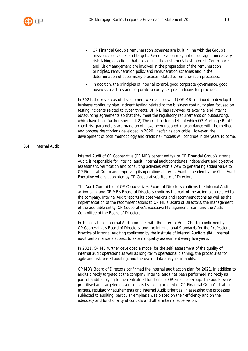

- OP Financial Group's remuneration schemes are built in line with the Group's mission, core values and targets. Remuneration may not encourage unnecessary risk-taking or actions that are against the customer's best interest. Compliance and Risk Management are involved in the preparation of the remuneration principles, remuneration policy and remuneration schemes and in the determination of supervisory practices related to remuneration processes.
- In addition, the principles of internal control, good corporate governance, good business practices and corporate security set preconditions for practices.

In 2021, the key areas of development were as follows: 1) OP MB continued to develop its business continuity plan. Incident testing related to the business continuity plan focused on testing incidents related to cyber threats. OP MB has reviewed its external and internal outsourcing agreements so that they meet the regulatory requirements on outsourcing, which have been further specified. 2) The credit risk models, of which OP Mortgage Bank's credit risk parameters are made up of, have been updated in accordance with the method and process descriptions developed in 2020, insofar as applicable. However, the development of both methodology and credit risk models will continue in the years to come.

#### <span id="page-10-0"></span>8.4 Internal Audit

Internal Audit of OP Cooperative (OP MB's parent entity), or OP Financial Group's Internal Audit, is responsible for internal audit. Internal audit constitutes independent and objective assessment, verification and consulting activities with a view to generating added value to OP Financial Group and improving its operations. Internal Audit is headed by the Chief Audit Executive who is appointed by OP Cooperative's Board of Directors.

The Audit Committee of OP Cooperative's Board of Directors confirms the Internal Audit action plan, and OP MB's Board of Directors confirms the part of the action plan related to the company. Internal Audit reports its observations and recommendations as well as the implementation of the recommendations to OP MB's Board of Directors, the management of the auditable entity, OP Cooperative's Executive Management Team and the Audit Committee of the Board of Directors.

In its operations, Internal Audit complies with the Internal Audit Charter confirmed by OP Cooperative's Board of Directors, and the International Standards for the Professional Practice of Internal Auditing confirmed by the Institute of Internal Auditors (IIA). Internal audit performance is subject to external quality assessment every five years.

In 2021, OP MB further developed a model for the self-assessment of the quality of internal audit operations as well as long-term operational planning, the procedures for agile and risk-based auditing, and the use of data analytics in audits.

OP MB's Board of Directors confirmed the internal audit action plan for 2021. In addition to audits directly targeted at the company, internal audit has been performed indirectly as part of audit applying to the centralised functions of OP Financial Group. The audits were prioritised and targeted on a risk basis by taking account of OP Financial Group's strategic targets, regulatory requirements and Internal Audit priorities. In assessing the processes subjected to auditing, particular emphasis was placed on their efficiency and on the adequacy and functionality of controls and other internal supervision.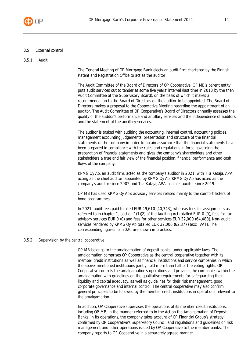

#### <span id="page-11-0"></span>8.5 External control

#### <span id="page-11-1"></span>8.5.1 Audit

The General Meeting of OP Mortgage Bank elects an audit firm chartered by the Finnish Patent and Registration Office to act as the auditor.

The Audit Committee of the Board of Directors of OP Cooperative, OP MB's parent entity, puts audit services out to tender at some five years' interval (last time in 2018 by the then Audit Committee of the Supervisory Board), on the basis of which it makes a recommendation to the Board of Directors on the auditor to be appointed. The Board of Directors makes a proposal to the Cooperative Meeting regarding the appointment of an auditor. The Audit Committee of OP Cooperative's Board of Directors annually assesses the quality of the auditor's performance and ancillary services and the independence of auditors and the statement of the ancillary services.

The auditor is tasked with auditing the accounting, internal control, accounting policies, management accounting judgements, presentation and structure of the financial statements of the company in order to obtain assurance that the financial statements have been prepared in compliance with the rules and regulations in force governing the preparation of financial statements and gives the company's shareholders and other stakeholders a true and fair view of the financial position, financial performance and cash flows of the company.

KPMG Oy Ab, an audit firm, acted as the company's auditor in 2021, with Tiia Kataja, APA, acting as the chief auditor, appointed by KPMG Oy Ab. KPMG Oy Ab has acted as the company's auditor since 2002 and Tiia Kataja, APA, as chief auditor since 2019.

OP MB has used KPMG Oy Ab's advisory services related mainly to the comfort letters of bond programmes.

In 2021, audit fees paid totalled EUR 49,610 (40,343), whereas fees for assignments as referred to in chapter 1, section 1(1)(2) of the Auditing Act totalled EUR 0 (0), fees for tax advisory services EUR 0 (0) and fees for other services EUR 32,000 (64,480). Non-audit services rendered by KPMG Oy Ab totalled EUR 32,000 (62,877) (excl. VAT). The corresponding figures for 2020 are shown in brackets.

#### <span id="page-11-2"></span>8.5.2 Supervision by the central cooperative

OP MB belongs to the amalgamation of deposit banks, under applicable laws. The amalgamation comprises OP Cooperative as the central cooperative together with its member credit institutions as well as financial institutions and service companies in which the above-mentioned institutions jointly hold more than half of the voting rights. OP Cooperative controls the amalgamation's operations and provides the companies within the amalgamation with guidelines on the qualitative requirements for safeguarding their liquidity and capital adequacy, as well as guidelines for their risk management, good corporate governance and internal control. The central cooperative may also confirm general principles to be followed by the member credit institutions in operations relevant to the amalgamation.

In addition, OP Cooperative supervises the operations of its member credit institutions, including OP MB, in the manner referred to in the Act on the Amalgamation of Deposit Banks. In its operations, the company takes account of OP Financial Group's strategy, confirmed by OP Cooperative's Supervisory Council, and regulations and guidelines on risk management and other operations issued by OP Cooperative to the member banks. The company reports to OP Cooperative in a separately agreed manner.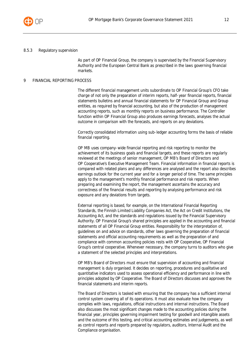

#### <span id="page-12-0"></span>8.5.3 Regulatory supervision

As part of OP Financial Group, the company is supervised by the Financial Supervisory Authority and the European Central Bank as prescribed in the laws governing financial markets.

#### <span id="page-12-1"></span>9 FINANCIAL REPORTING PROCESS

The different financial management units subordinate to OP Financial Group's CFO take charge of not only the preparation of interim reports, half-year financial reports, financial statements bulletins and annual financial statements for OP Financial Group and Group entities, as required by financial accounting, but also of the production of management accounting reports, such as monthly reports on business performance. The Controller function within OP Financial Group also produces earnings forecasts, analyses the actual outcome in comparison with the forecasts, and reports on any deviations.

Correctly consolidated information using sub-ledger accounting forms the basis of reliable financial reporting.

OP MB uses company-wide financial reporting and risk reporting to monitor the achievement of its business goals and financial targets, and these reports are regularly reviewed at the meetings of senior management, OP MB's Board of Directors and OP Cooperative's Executive Management Team. Financial information in financial reports is compared with related plans and any differences are analysed and the report also describes earnings outlook for the current year and for a longer period of time. The same principles apply to the management's monthly financial performance and risk reports. When preparing and examining the report, the management ascertains the accuracy and correctness of the financial results and reporting by analysing performance and risk exposure and any deviations from targets.

External reporting is based, for example, on the International Financial Reporting Standards, the Finnish Limited Liability Companies Act, the Act on Credit Institutions, the Accounting Act, and the standards and regulations issued by the Financial Supervisory Authority. OP Financial Group's shared principles are applied in the accounting and financial statements of all OP Financial Group entities. Responsibility for the interpretation of, guidelines on and advice on standards, other laws governing the preparation of financial statements and official accounting requirements as well as the preparation of and compliance with common accounting policies rests with OP Cooperative, OP Financial Group's central cooperative. Whenever necessary, the company turns to auditors who give a statement of the selected principles and interpretations.

OP MB's Board of Directors must ensure that supervision of accounting and financial management is duly organised. It decides on reporting, procedures and qualitative and quantitative indicators used to assess operational efficiency and performance in line with principles adopted by OP Cooperative. The Board of Directors discusses and approves the financial statements and interim reports.

The Board of Directors is tasked with ensuring that the company has a sufficient internal control system covering all of its operations. It must also evaluate how the company complies with laws, regulations, official instructions and internal instructions. The Board also discusses the most significant changes made to the accounting policies during the financial year, principles governing impairment testing for goodwill and intangible assets and the outcome of this testing, and critical accounting estimates and judgements, as well as control reports and reports prepared by regulators, auditors, Internal Audit and the Compliance organisation.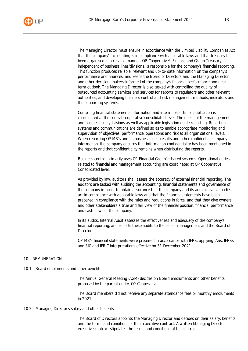The Managing Director must ensure in accordance with the Limited Liability Companies Act that the company's accounting is in compliance with applicable laws and that treasury has been organised in a reliable manner. OP Cooperative's Finance and Group Treasury, independent of business lines/divisions, is responsible for the company's financial reporting. This function produces reliable, relevant and up-to-date information on the company's performance and finances, and keeps the Board of Directors and the Managing Director and other decision-makers informed of the company's financial performance and nearterm outlook. The Managing Director is also tasked with controlling the quality of outsourced accounting services and services for reports to regulators and other relevant authorities, and developing business control and risk management methods, indicators and the supporting systems.

Compiling financial statements information and interim reports for publication is coordinated at the central cooperative consolidated level. The needs of the management and business lines/divisions as well as applicable legislation guide reporting. Reporting systems and communications are defined so as to enable appropriate monitoring and supervision of objectives, performance, operations and risk at all organisational levels. When reporting OP MB's and its business lines' results and other confidential company information, the company ensures that information confidentiality has been mentioned in the reports and that confidentiality remains when distributing the reports.

Business control primarily uses OP Financial Group's shared systems. Operational duties related to financial and management accounting are coordinated at OP Cooperative Consolidated level.

As provided by law, auditors shall assess the accuracy of external financial reporting. The auditors are tasked with auditing the accounting, financial statements and governance of the company in order to obtain assurance that the company and its administrative bodies act in compliance with applicable laws and that the financial statements have been prepared in compliance with the rules and regulations in force, and that they give owners and other stakeholders a true and fair view of the financial position, financial performance and cash flows of the company.

In its audits, Internal Audit assesses the effectiveness and adequacy of the company's financial reporting, and reports these audits to the senior management and the Board of Directors.

OP MB's financial statements were prepared in accordance with IFRS, applying IASs, IFRSs and SIC and IFRIC interpretations effective on 31 December 2021.

# <span id="page-13-0"></span>10 REMUNERATION

<span id="page-13-1"></span>10.1 Board emoluments and other benefits

The Annual General Meeting (AGM) decides on Board emoluments and other benefits proposed by the parent entity, OP Cooperative.

The Board members did not receive any separate attendance fees or monthly emoluments in 2021.

<span id="page-13-2"></span>10.2 Managing Director's salary and other benefits

The Board of Directors appoints the Managing Director and decides on their salary, benefits and the terms and conditions of their executive contract. A written Managing Director executive contract stipulates the terms and conditions of the contract.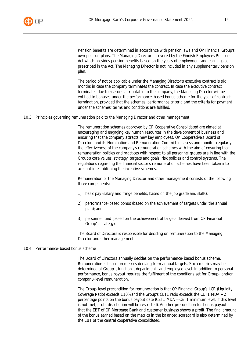

Pension benefits are determined in accordance with pension laws and OP Financial Group's own pension plans. The Managing Director is covered by the Finnish Employees Pensions Act which provides pension benefits based on the years of employment and earnings as prescribed in the Act. The Managing Director is not included in any supplementary pension plan.

The period of notice applicable under the Managing Director's executive contract is six months in case the company terminates the contract. In case the executive contract terminates due to reasons attributable to the company, the Managing Director will be entitled to bonuses under the performance-based bonus scheme for the year of contract termination, provided that the schemes' performance criteria and the criteria for payment under the schemes' terms and conditions are fulfilled.

#### <span id="page-14-0"></span>10.3 Principles governing remuneration paid to the Managing Director and other management

The remuneration schemes approved by OP Cooperative Consolidated are aimed at encouraging and engaging key human resources in the development of business and ensuring that the company attracts new key employees. OP Cooperative's Board of Directors and its Nomination and Remuneration Committee assess and monitor regularly the effectiveness of the company's remuneration schemes with the aim of ensuring that remuneration policies and practices with respect to all personnel groups are in line with the Group's core values, strategy, targets and goals, risk policies and control systems. The regulations regarding the financial sector's remuneration schemes have been taken into account in establishing the incentive schemes.

Remuneration of the Managing Director and other management consists of the following three components:

- 1) basic pay (salary and fringe benefits, based on the job grade and skills);
- 2) performance-based bonus (based on the achievement of targets under the annual plan); and
- 3) personnel fund (based on the achievement of targets derived from OP Financial Group's strategy).

The Board of Directors is responsible for deciding on remuneration to the Managing Director and other management.

#### <span id="page-14-1"></span>10.4 Performance-based bonus scheme

The Board of Directors annually decides on the performance-based bonus scheme. Remuneration is based on metrics deriving from annual targets. Such metrics may be determined at Group-, function-, department- and employee level. In addition to personal performance, bonus payout requires the fulfilment of the conditions set for Group- and/or company-level remuneration.

The Group-level precondition for remuneration is that OP Financial Group's LCR (Liquidity Coverage Ratio) exceeds 110% and the Group's CET1 ratio exceeds the CET1 MDA + 2 percentage points on the bonus payout date (CET1 MDA = CET1 minimum level. If this level is not met, profit distribution will be restricted). Another precondition for bonus payout is that the EBT of OP Mortgage Bank and customer business shows a profit. The final amount of the bonus earned based on the metrics in the balanced scorecard is also determined by the EBT of the central cooperative consolidated.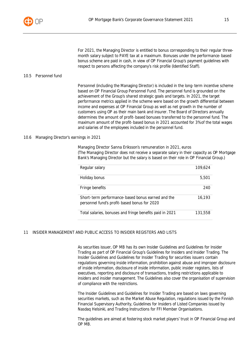

For 2021, the Managing Director is entitled to bonus corresponding to their regular threemonth salary subject to PAYE tax at a maximum. Bonuses under the performance-based bonus scheme are paid in cash, in view of OP Financial Group's payment guidelines with respect to persons affecting the company's risk profile (Identified Staff).

#### <span id="page-15-0"></span>10.5 Personnel fund

Personnel (including the Managing Director) is included in the long-term incentive scheme based on OP Financial Group Personnel Fund. The personnel fund is grounded on the achievement of the Group's shared strategic goals and targets. In 2021, the target performance metrics applied in the scheme were based on the growth differential between income and expenses at OP Financial Group as well as net growth in the number of customers using OP as their main bank and insurer. The Board of Directors annually determines the amount of profit-based bonuses transferred to the personnel fund. The maximum amount of the profit-based bonus in 2021 accounted for 3% of the total wages and salaries of the employees included in the personnel fund.

#### <span id="page-15-1"></span>10.6 Managing Director's earnings in 2021

Managing Director Sanna Eriksson's remuneration in 2021, euros (The Managing Director does not receive a separate salary in their capacity as OP Mortgage Bank's Managing Director but the salary is based on their role in OP Financial Group.)

| Regular salary                                                                                    | 109,624 |
|---------------------------------------------------------------------------------------------------|---------|
| Holiday bonus                                                                                     | 5.501   |
| Fringe benefits                                                                                   | 240     |
| Short-term performance-based bonus earned and the<br>personnel fund's profit-based bonus for 2020 | 16.193  |
| Total salaries, bonuses and fringe benefits paid in 2021                                          | 131,558 |

# <span id="page-15-2"></span>11 INSIDER MANAGEMENT AND PUBLIC ACCESS TO INSIDER REGISTERS AND LISTS

As securities issuer, OP MB has its own Insider Guidelines and Guidelines for Insider Trading as part of OP Financial Group's Guidelines for Insiders and Insider Trading. The Insider Guidelines and Guidelines for Insider Trading for securities issuers contain regulations governing inside information, prohibition against abuse and improper disclosure of inside information, disclosure of inside information, public insider registers, lists of executives, reporting and disclosure of transactions, trading restrictions applicable to insiders and insider management. The Guidelines also cover the organisation of supervision of compliance with the restrictions.

The Insider Guidelines and Guidelines for Insider Trading are based on laws governing securities markets, such as the Market Abuse Regulation, regulations issued by the Finnish Financial Supervisory Authority, Guidelines for Insiders of Listed Companies issued by Nasdaq Helsinki, and Trading Instructions for FFI Member Organisations.

The guidelines are aimed at fostering stock market players' trust in OP Financial Group and OP MB.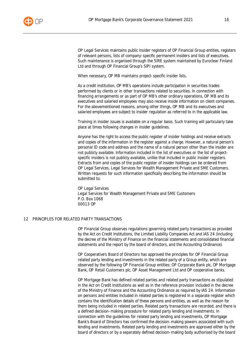

OP Legal Services maintains public insider registers of OP Financial Group entities, registers of relevant persons, lists of company-specific permanent insiders and lists of executives. Such maintenance is organised through the SIRE system maintained by Euroclear Finland Ltd and through OP Financial Group's SIPI system.

When necessary, OP MB maintains project-specific insider lists.

As a credit institution, OP MB's operations include participation in securities trades performed by clients or in other transactions related to securities. In connection with financing arrangements or as part of OP MB's other ordinary operations, OP MB and its executives and salaried employees may also receive inside information on client companies. For the abovementioned reasons, among other things, OP MB and its executives and salaried employees are subject to insider regulation as referred to in the applicable law.

Training in insider issues is available on a regular basis. Such training will particularly take place at times following changes in insider guidelines.

Anyone has the right to access the public register of insider holdings and receive extracts and copies of the information in the register against a charge. However, a natural person's personal ID code and address and the name of a natural person other than the insider are not publicly available. Information included in the list of executives or the list of projectspecific insiders is not publicly available, unlike that included in public insider registers. Extracts from and copies of the public register of insider holdings can be ordered from OP Legal Services, Legal Services for Wealth Management Private and SME Customers. Written requests for such information specifically describing the information should be submitted to:

OP Legal Services Legal Services for Wealth Management Private and SME Customers P.O. Box 1068 00013 OP

#### <span id="page-16-0"></span>12 PRINCIPLES FOR RELATED PARTY TRANSACTIONS

OP Financial Group observes regulations governing related party transactions as provided by the Act on Credit Institutions, the Limited Liability Companies Act and IAS 24 (including the decree of the Ministry of Finance on the financial statements and consolidated financial statements and the report by the board of directors, and the Accounting Ordinance).

OP Cooperative's Board of Directors has approved the principles for OP Financial Group related party lending and investments in the related party of a Group entity, which are observed by the following OP Financial Group entities: OP Corporate Bank plc, OP Mortgage Bank, OP Retail Customers plc, OP Asset Management Ltd and OP cooperative banks.

OP Mortgage Bank has defined related parties and related party transactions as stipulated in the Act on Credit Institutions as well as in the reference provision included in the decree of the Ministry of Finance and the Accounting Ordinance as required by IAS 24. Information on persons and entities included in related parties is registered in a separate register which contains the identification details of these persons and entities, as well as the reason for them being included in related parties. Related party transactions are recorded, and there is a defined decision-making procedure for related party lending and investments. In connection with the guidelines for related party lending and investments, OP Mortgage Bank's Board of Directors has confirmed the decision-making powers associated with such lending and investments. Related party lending and investments are approved either by the board of directors or by a separately defined decision-making body authorised by the board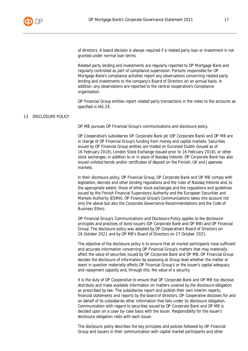

of directors. A board decision is always required if a related party loan or investment is not granted under normal loan terms.

Related party lending and investments are regularly reported to OP Mortgage Bank and regularly controlled as part of compliance supervision. Persons responsible for OP Mortgage Bank's compliance activities report any observations concerning related party lending and investments to the company's Board of Directors on an annual basis. In addition, any observations are reported to the central cooperative's Compliance organisation.

OP Financial Group entities report related party transactions in the notes to the accounts as specified in IAS 24.

#### <span id="page-17-0"></span>13 DISCLOSURE POLICY

OP MB pursues OP Financial Group's communications and disclosure policy.

OP Cooperative's subsidiaries OP Corporate Bank plc (OP Corporate Bank) and OP MB are in charge of OP Financial Group's funding from money and capital markets. Securities issued by OP Financial Group entities are traded on Euronext Dublin (issued as of 16 February 2018), London Stock Exchange (issued prior to 16 February 2018), or other stock exchanges, in addition to or in place of Nasdaq Helsinki. OP Corporate Bank has also issued unlisted bonds and/or certificates of deposit on the Finnish, UK and Japanese markets.

In their disclosure policy, OP Financial Group, OP Corporate Bank and OP MB comply with legislation, decrees and other binding regulations and the rules of Nasdaq Helsinki and, to the appropriate extent, those of other stock exchanges and the regulations and guidelines issued by the Finnish Financial Supervisory Authority and the European Securities and Markets Authority (ESMA). OP Financial Group's Communications takes into account not only the above but also the Corporate Governance Recommendations and the Code of Business Ethics.

OP Financial Group's Communications and Disclosure Policy applies to the disclosure principles and practices of bond issuers (OP Corporate Bank and OP MB) and OP Financial Group. The disclosure policy was adopted by OP Cooperative's Board of Directors on 26 October 2021 and by OP MB's Board of Directors on 27 October 2021.

The objective of the disclosure policy is to ensure that all market participants have sufficient and accurate information concerning OP Financial Group's matters that may materially affect the value of securities issued by OP Corporate Bank and OP MB. OP Financial Group decides the disclosure of information by assessing at Group level whether the matter or event in question materially affects OP Financial Group's or the issuer's capital adequacy and repayment capacity and, through this, the value of a security.

It is the duty of OP Cooperative to ensure that OP Corporate Bank and OP MB too disclose, distribute and make available information on matters covered by the disclosure obligation as prescribed by law. The subsidiaries report and publish their own interim reports, financial statements and reports by the board of directors. OP Cooperative discloses for and on behalf of its subsidiaries other information that falls under its disclosure obligation. Communication with regard to securities issued by OP Corporate Bank and OP MB is decided upon on a case-by-case basis with the issuer. Responsibility for the issuer's disclosure obligation rests with each issuer.

The disclosure policy describes the key principles and policies followed by OP Financial Group and issuers in their communication with capital market participants and other